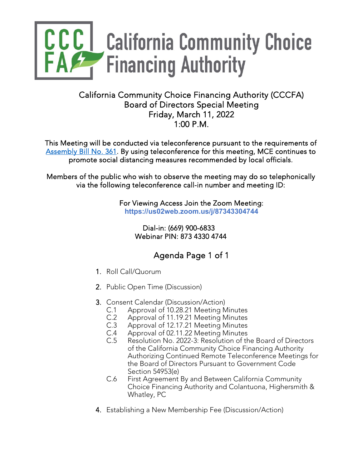

## California Community Choice Financing Authority (CCCFA) Board of Directors Special Meeting Friday, March 11, 2022 1:00 P.M.

This Meeting will be conducted via teleconference pursuant to the requirements of [Assembly Bill No. 361.](https://leginfo.legislature.ca.gov/faces/billNavClient.xhtml?bill_id=202120220AB361) By using teleconference for this meeting, MCE continues to promote social distancing measures recommended by local officials.

Members of the public who wish to observe the meeting may do so telephonically via the following teleconference call-in number and meeting ID:

> For Viewing Access Join the Zoom Meeting: **https://us02web.zoom.us/j/87343304744**

> > Dial-in: (669) 900-6833 Webinar PIN: 873 4330 4744

## Agenda Page 1 of 1

- 1. Roll Call/Quorum
- 2. Public Open Time (Discussion)
- 3. Consent Calendar (Discussion/Action)
	- C.1 Approval of 10.28.21 Meeting Minutes
	- C.2 Approval of 11.19.21 Meeting Minutes
	- C.3 Approval of 12.17.21 Meeting Minutes
	- C.4 Approval of 02.11.22 Meeting Minutes
		- Resolution No. 2022-3: Resolution of the Board of Directors of the California Community Choice Financing Authority Authorizing Continued Remote Teleconference Meetings for the Board of Directors Pursuant to Government Code Section 54953(e)
	- C.6 First Agreement By and Between California Community Choice Financing Authority and Colantuona, Highersmith & Whatley, PC
- 4. Establishing a New Membership Fee (Discussion/Action)